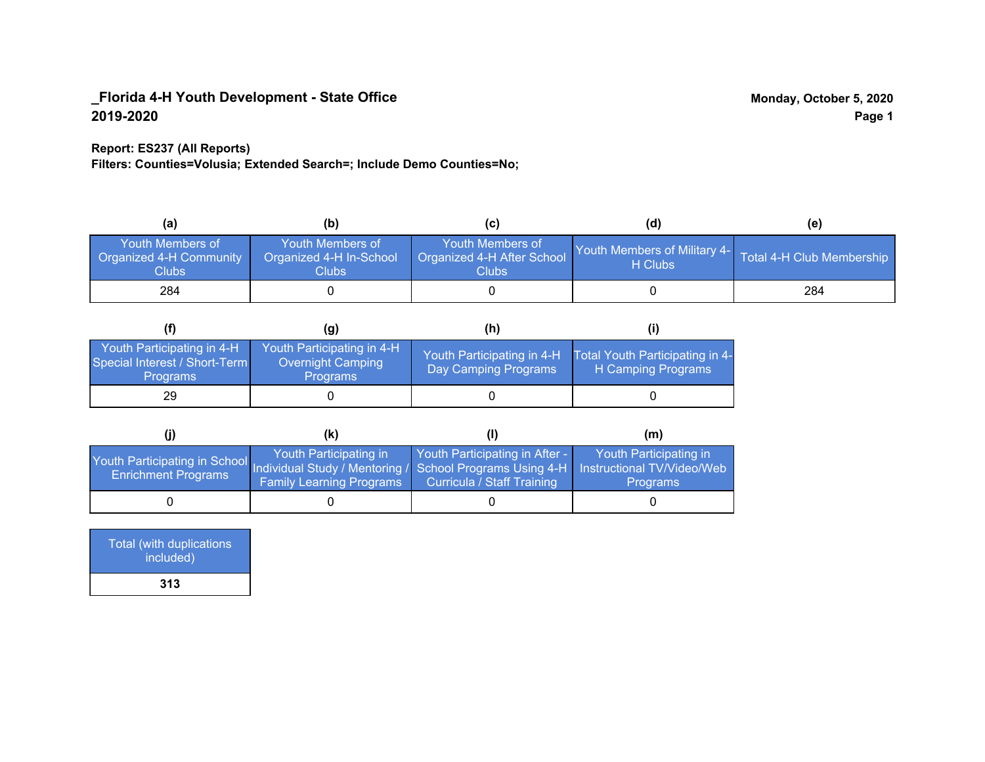#### **Report: ES237 (All Reports)**

**Filters: Counties=Volusia; Extended Search=; Include Demo Counties=No;**

| (a)                                                  | (b)                                                   | (C)                                                       | (d)                                                               | (e) |
|------------------------------------------------------|-------------------------------------------------------|-----------------------------------------------------------|-------------------------------------------------------------------|-----|
| Youth Members of<br>Organized 4-H Community<br>Clubs | Youth Members of<br>Organized 4-H In-School<br>Clubs: | Youth Members of<br>Organized 4-H After School<br>Clubs : | Youth Members of Military 4- Total 4-H Club Membership<br>H Clubs |     |
| 284                                                  |                                                       |                                                           |                                                                   | 284 |

|                                                                                | (g)                                                                 | (h)                                                 |                                                       |
|--------------------------------------------------------------------------------|---------------------------------------------------------------------|-----------------------------------------------------|-------------------------------------------------------|
| Youth Participating in 4-H<br>Special Interest / Short-Term<br><b>Programs</b> | Youth Participating in 4-H,<br>Overnight Camping<br><b>Programs</b> | Youth Participating in 4-H,<br>Day Camping Programs | Total Youth Participating in 4-<br>H Camping Programs |
| 29                                                                             |                                                                     |                                                     |                                                       |

|                                                                                                                                                 | (k)                                                       |                                                                     | (m)                                       |
|-------------------------------------------------------------------------------------------------------------------------------------------------|-----------------------------------------------------------|---------------------------------------------------------------------|-------------------------------------------|
| Youth Participating in School Individual Study / Mentoring / School Programs Using 4-H Instructional TV/Video/Web<br><b>Enrichment Programs</b> | Youth Participating in<br><b>Family Learning Programs</b> | Youth Participating in After -<br><b>Curricula / Staff Training</b> | Youth Participating in<br><b>Programs</b> |
|                                                                                                                                                 |                                                           |                                                                     |                                           |

| <b>Total (with duplications)</b><br>included) |  |
|-----------------------------------------------|--|
| 313                                           |  |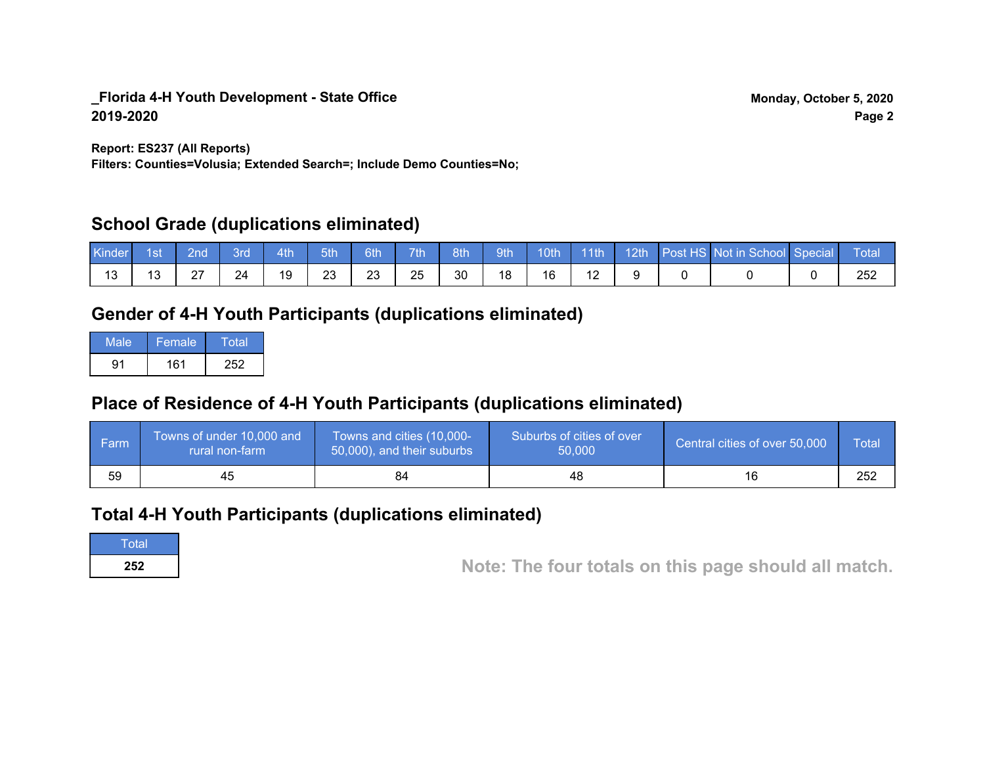**Report: ES237 (All Reports)**

**Filters: Counties=Volusia; Extended Search=; Include Demo Counties=No;**

## **School Grade (duplications eliminated)**

| <b>Kinder</b> | 1st                 | <b>2nd</b>  | 3rd | 4th | $7$ 5th/ | 6th | 7th | 8th | 9th | 10th | $\parallel$ 11th |  | 12th Post HS Not in School Special | Total      |
|---------------|---------------------|-------------|-----|-----|----------|-----|-----|-----|-----|------|------------------|--|------------------------------------|------------|
| $\sqrt{2}$    | $\overline{ }$<br>ື | $\sim$<br>- | 24  | 19  | 23       | 23  | 25  | 30  | 18  | 16   |                  |  |                                    | つらつ<br>∠∪∠ |

## **Gender of 4-H Youth Participants (duplications eliminated)**

| Male | Female | <b>⊿</b> otalz |
|------|--------|----------------|
| 91   | 161    | 252            |

# **Place of Residence of 4-H Youth Participants (duplications eliminated)**

| ∣ Farm | Towns of under 10,000 and<br>rural non-farm | Towns and cities (10,000-<br>50,000), and their suburbs | Suburbs of cities of over<br>50,000 | Central cities of over 50,000 | Total |
|--------|---------------------------------------------|---------------------------------------------------------|-------------------------------------|-------------------------------|-------|
| 59     | 45                                          | 84                                                      | 48                                  | 16                            | 252   |

## **Total 4-H Youth Participants (duplications eliminated)**

**Total** 

**<sup>252</sup> Note: The four totals on this page should all match.**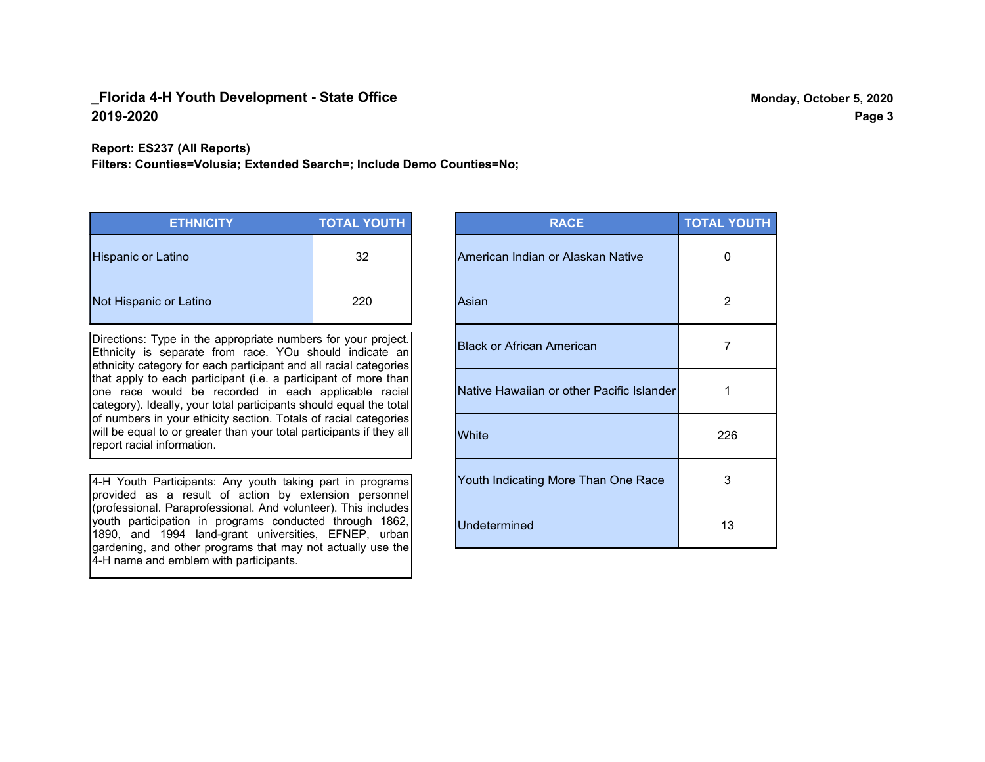#### **Report: ES237 (All Reports)**

**Filters: Counties=Volusia; Extended Search=; Include Demo Counties=No;**

| <b>ETHNICITY</b>          | <b>TOTAL YOUTH</b> |
|---------------------------|--------------------|
| <b>Hispanic or Latino</b> | 32                 |
| Not Hispanic or Latino    | 220                |

Directions: Type in the appropriate numbers for your project. Ethnicity is separate from race. YOu should indicate an ethnicity category for each participant and all racial categories that apply to each participant (i.e. a participant of more than one race would be recorded in each applicable racial category). Ideally, your total participants should equal the total of numbers in your ethicity section. Totals of racial categories will be equal to or greater than your total participants if they all report racial information.

4-H Youth Participants: Any youth taking part in programs provided as a result of action by extension personnel (professional. Paraprofessional. And volunteer). This includes youth participation in programs conducted through 1862, 1890, and 1994 land-grant universities, EFNEP, urban gardening, and other programs that may not actually use the 4-H name and emblem with participants.

| <b>RACE</b>                               | <b>TOTAL YOUTH</b> |
|-------------------------------------------|--------------------|
| American Indian or Alaskan Native         | O                  |
| Asian                                     | 2                  |
| <b>Black or African American</b>          | $\overline{7}$     |
| Native Hawaiian or other Pacific Islander | 1                  |
| White                                     | 226                |
| Youth Indicating More Than One Race       | 3                  |
| <b>Undetermined</b>                       | 13                 |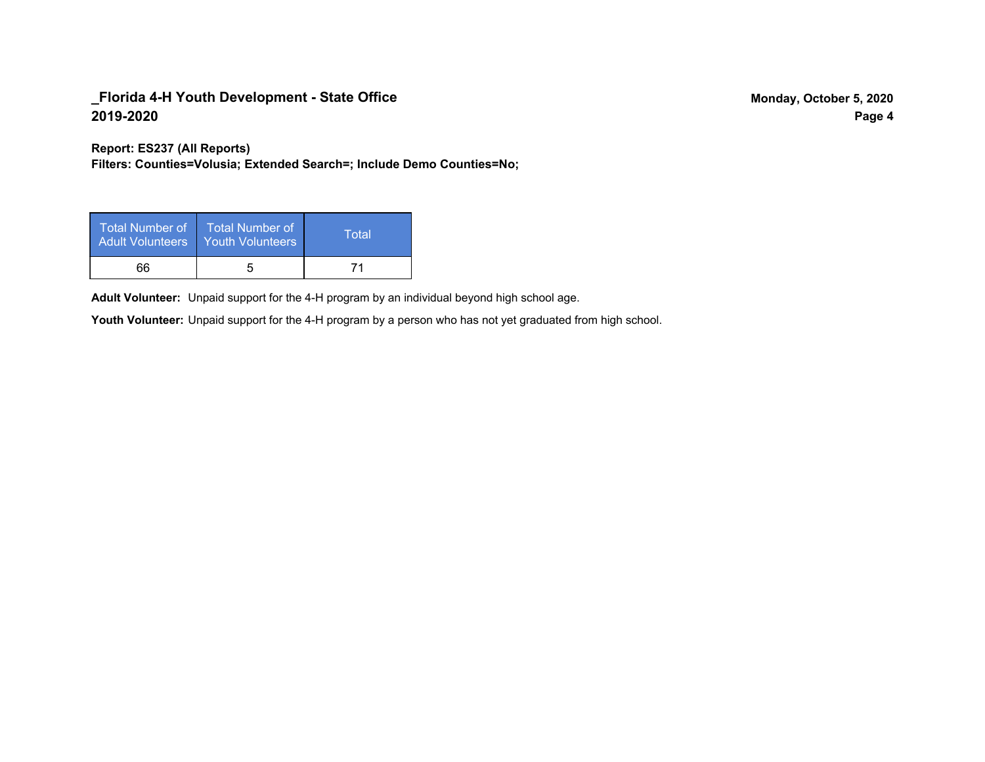**Report: ES237 (All Reports)**

**Filters: Counties=Volusia; Extended Search=; Include Demo Counties=No;**

| Total Number of<br><b>Adult Volunteers</b> | Total Number of<br>Youth Volunteers | Total |
|--------------------------------------------|-------------------------------------|-------|
| 66                                         | h                                   |       |

Adult Volunteer: Unpaid support for the 4-H program by an individual beyond high school age.

Youth Volunteer: Unpaid support for the 4-H program by a person who has not yet graduated from high school.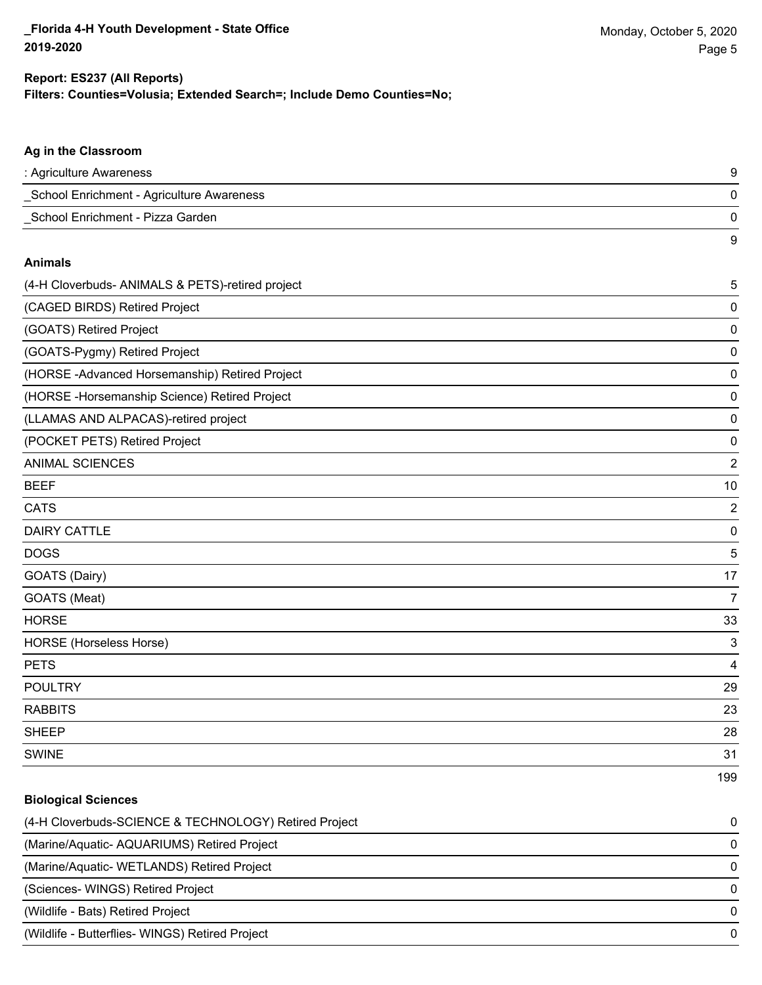199

#### **Filters: Counties=Volusia; Extended Search=; Include Demo Counties=No; Report: ES237 (All Reports)**

# **Ag in the Classroom** : Agriculture Awareness 9 \_School Enrichment - Agriculture Awareness 0 \_School Enrichment - Pizza Garden 0 9 **Animals** (4-H Cloverbuds- ANIMALS & PETS)-retired project 5 (CAGED BIRDS) Retired Project 0 (GOATS) Retired Project 0 (GOATS-Pygmy) Retired Project 0 (HORSE -Advanced Horsemanship) Retired Project 0 (HORSE -Horsemanship Science) Retired Project 0 (LLAMAS AND ALPACAS)-retired project 0 (POCKET PETS) Retired Project 0 ANIMAL SCIENCES 2 essays and the second control of the second control of the second control of the second control of the second of the second control of the second control of the second control of the second control of the second control of CATS 22 and 22 and 22 and 23 and 23 and 23 and 23 and 23 and 23 and 23 and 23 and 24 and 25 and 26 and 26 and 26 and 26 and 26 and 26 and 26 and 26 and 26 and 26 and 26 and 26 and 26 and 26 and 26 and 26 and 26 and 26 and DAIRY CATTLE 0 dogs and the second state of the second state of the second state of the second state  $5$ GOATS (Dairy) 17 GOATS (Meat) 7 HORSE 33 HORSE (Horseless Horse) 3 PETS 4 POULTRY 29 RABBITS 23 SHEEP 28 SWINE 2008 2012 12:00:00 2012 2023 2024 2022 2022 2023 2024 2022 2023 2024 2022 2023 2024 2022 2023 2024 2022

| <b>Biological Sciences</b>                            |          |
|-------------------------------------------------------|----------|
| (4-H Cloverbuds-SCIENCE & TECHNOLOGY) Retired Project | 0        |
| (Marine/Aquatic- AQUARIUMS) Retired Project           | $\Omega$ |
| (Marine/Aquatic- WETLANDS) Retired Project            | $\Omega$ |
| (Sciences-WINGS) Retired Project                      | 0        |
| (Wildlife - Bats) Retired Project                     | $\Omega$ |
| (Wildlife - Butterflies- WINGS) Retired Project       | $\Omega$ |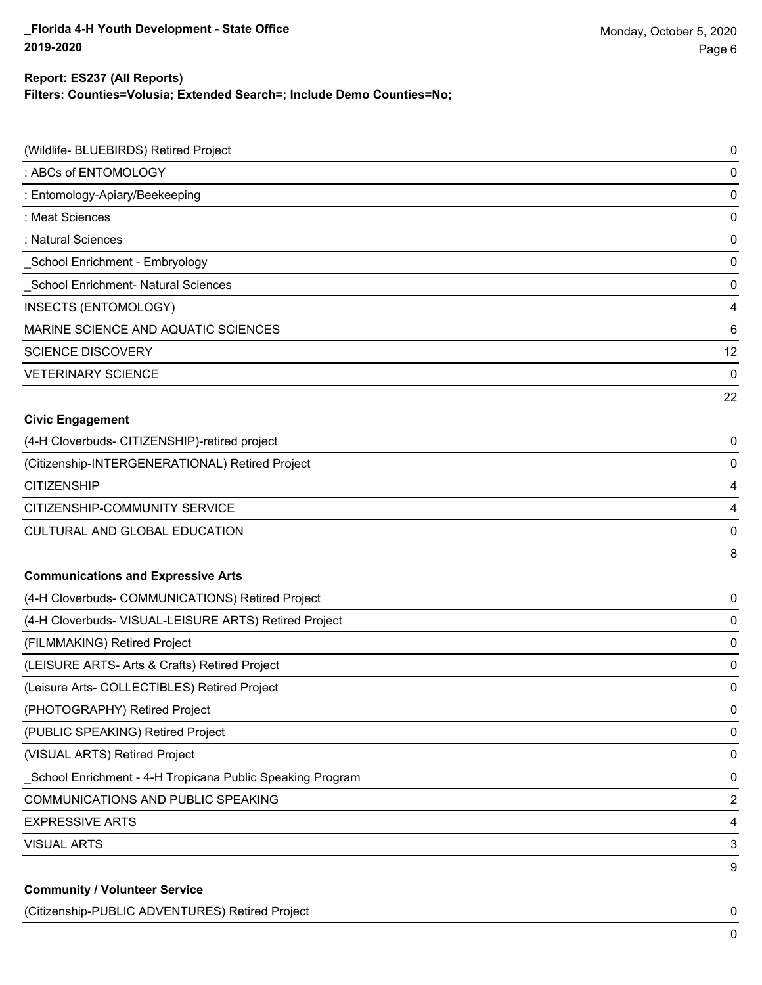#### **Filters: Counties=Volusia; Extended Search=; Include Demo Counties=No; Report: ES237 (All Reports)**

| (Wildlife- BLUEBIRDS) Retired Project                     | 0  |
|-----------------------------------------------------------|----|
| : ABCs of ENTOMOLOGY                                      | 0  |
| : Entomology-Apiary/Beekeeping                            | 0  |
| : Meat Sciences                                           | 0  |
| : Natural Sciences                                        | 0  |
| School Enrichment - Embryology                            | 0  |
| <b>School Enrichment- Natural Sciences</b>                | 0  |
| <b>INSECTS (ENTOMOLOGY)</b>                               | 4  |
| MARINE SCIENCE AND AQUATIC SCIENCES                       | 6  |
| <b>SCIENCE DISCOVERY</b>                                  | 12 |
| <b>VETERINARY SCIENCE</b>                                 | 0  |
|                                                           | 22 |
| <b>Civic Engagement</b>                                   |    |
| (4-H Cloverbuds- CITIZENSHIP)-retired project             | 0  |
| (Citizenship-INTERGENERATIONAL) Retired Project           | 0  |
| <b>CITIZENSHIP</b>                                        | 4  |
| CITIZENSHIP-COMMUNITY SERVICE                             | 4  |
| CULTURAL AND GLOBAL EDUCATION                             | 0  |
|                                                           | 8  |
| <b>Communications and Expressive Arts</b>                 |    |
| (4-H Cloverbuds- COMMUNICATIONS) Retired Project          | 0  |
| (4-H Cloverbuds- VISUAL-LEISURE ARTS) Retired Project     | 0  |
| (FILMMAKING) Retired Project                              | 0  |
| (LEISURE ARTS- Arts & Crafts) Retired Project             | 0  |
| (Leisure Arts- COLLECTIBLES) Retired Project              | 0  |
| (PHOTOGRAPHY) Retired Project                             | 0  |
| (PUBLIC SPEAKING) Retired Project                         | 0  |
| (VISUAL ARTS) Retired Project                             | 0  |
| School Enrichment - 4-H Tropicana Public Speaking Program | 0  |
| COMMUNICATIONS AND PUBLIC SPEAKING                        | 2  |
| <b>EXPRESSIVE ARTS</b>                                    | 4  |
| <b>VISUAL ARTS</b>                                        | 3  |
|                                                           | 9  |
| <b>Community / Volunteer Service</b>                      |    |

(Citizenship-PUBLIC ADVENTURES) Retired Project 0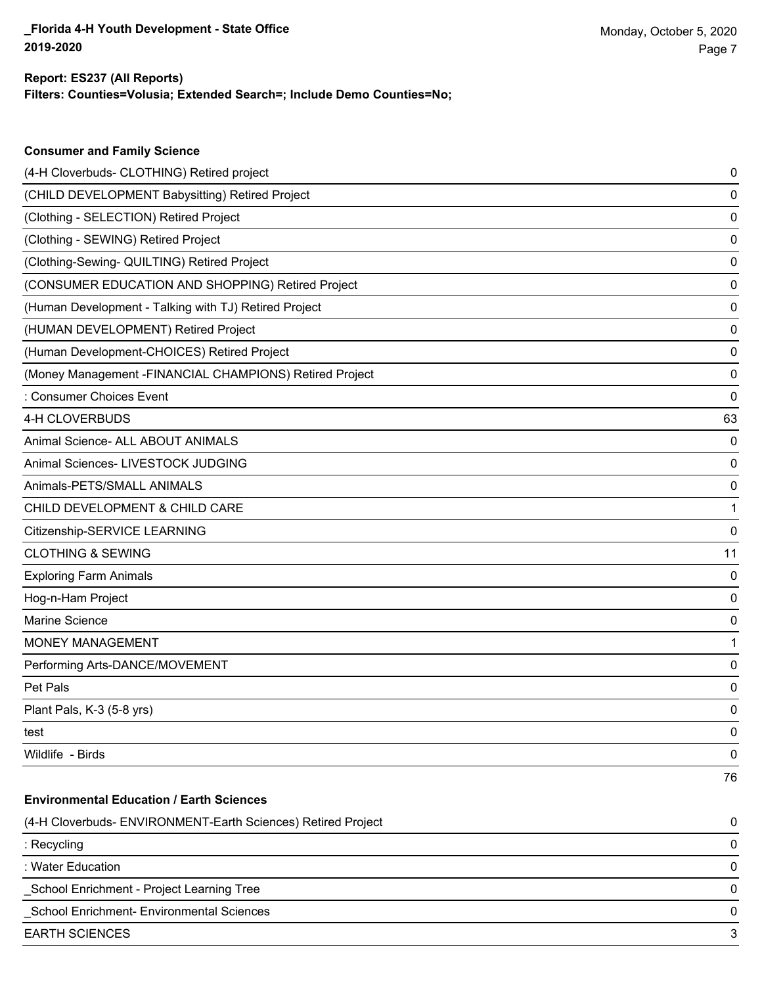**Consumer and Family Science**

#### **Filters: Counties=Volusia; Extended Search=; Include Demo Counties=No; Report: ES237 (All Reports)**

| (4-H Cloverbuds- CLOTHING) Retired project                   | 0  |
|--------------------------------------------------------------|----|
| (CHILD DEVELOPMENT Babysitting) Retired Project              | 0  |
| (Clothing - SELECTION) Retired Project                       | 0  |
| (Clothing - SEWING) Retired Project                          | 0  |
| (Clothing-Sewing- QUILTING) Retired Project                  | 0  |
| (CONSUMER EDUCATION AND SHOPPING) Retired Project            | 0  |
| (Human Development - Talking with TJ) Retired Project        | 0  |
| (HUMAN DEVELOPMENT) Retired Project                          | 0  |
| (Human Development-CHOICES) Retired Project                  | 0  |
| (Money Management - FINANCIAL CHAMPIONS) Retired Project     | 0  |
| : Consumer Choices Event                                     | 0  |
| 4-H CLOVERBUDS                                               | 63 |
| Animal Science- ALL ABOUT ANIMALS                            | 0  |
| Animal Sciences- LIVESTOCK JUDGING                           | 0  |
| Animals-PETS/SMALL ANIMALS                                   | 0  |
| CHILD DEVELOPMENT & CHILD CARE                               | 1  |
| Citizenship-SERVICE LEARNING                                 | 0  |
| <b>CLOTHING &amp; SEWING</b>                                 | 11 |
| <b>Exploring Farm Animals</b>                                | 0  |
| Hog-n-Ham Project                                            | 0  |
| Marine Science                                               | 0  |
| MONEY MANAGEMENT                                             | 1  |
| Performing Arts-DANCE/MOVEMENT                               | 0  |
| Pet Pals                                                     | 0  |
| Plant Pals, K-3 (5-8 yrs)                                    | 0  |
| test                                                         | 0  |
| Wildlife - Birds                                             | 0  |
|                                                              | 76 |
| <b>Environmental Education / Earth Sciences</b>              |    |
| (4-H Cloverbuds- ENVIRONMENT-Earth Sciences) Retired Project | 0  |
| : Recycling                                                  | 0  |
| : Water Education                                            | 0  |
| School Enrichment - Project Learning Tree                    | 0  |
| School Enrichment- Environmental Sciences                    | 0  |
| <b>EARTH SCIENCES</b>                                        | 3  |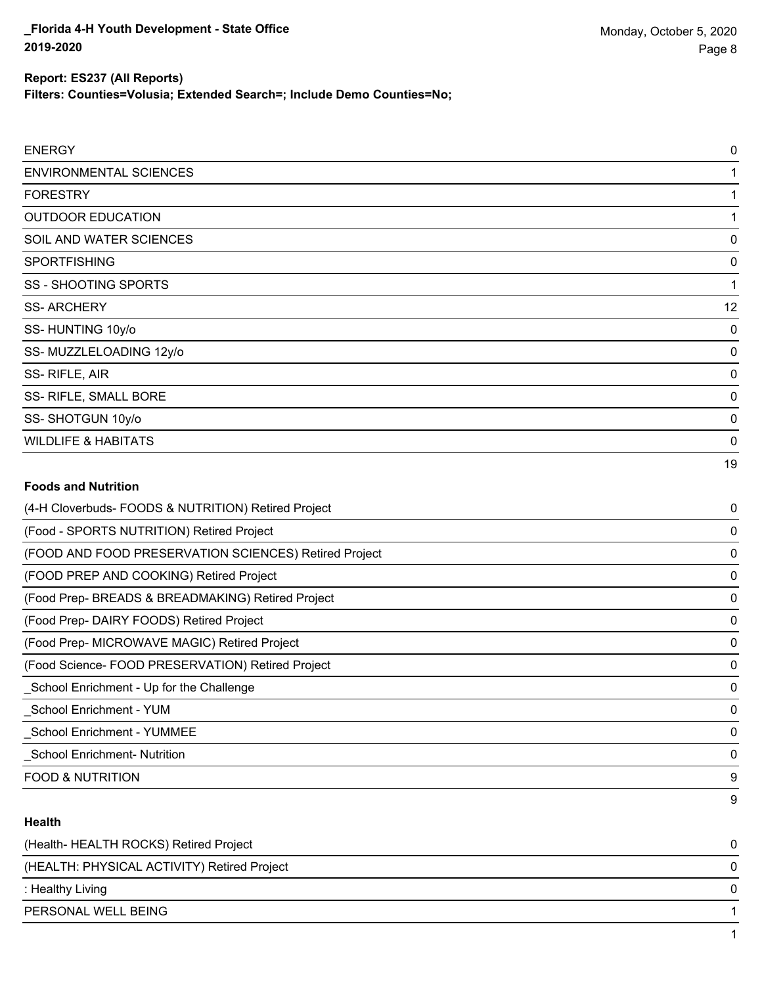**Filters: Counties=Volusia; Extended Search=; Include Demo Counties=No;**

| <b>ENERGY</b>                                         | $\pmb{0}$   |
|-------------------------------------------------------|-------------|
| <b>ENVIRONMENTAL SCIENCES</b>                         | 1           |
| <b>FORESTRY</b>                                       | 1           |
| <b>OUTDOOR EDUCATION</b>                              | 1           |
| SOIL AND WATER SCIENCES                               | 0           |
| <b>SPORTFISHING</b>                                   | $\mathbf 0$ |
| <b>SS - SHOOTING SPORTS</b>                           | 1           |
| <b>SS-ARCHERY</b>                                     | 12          |
| SS-HUNTING 10y/o                                      | 0           |
| SS-MUZZLELOADING 12y/o                                | 0           |
| SS-RIFLE, AIR                                         | $\mathbf 0$ |
| SS- RIFLE, SMALL BORE                                 | $\mathbf 0$ |
| SS-SHOTGUN 10y/o                                      | 0           |
| <b>WILDLIFE &amp; HABITATS</b>                        | $\mathbf 0$ |
|                                                       | 19          |
| <b>Foods and Nutrition</b>                            |             |
| (4-H Cloverbuds- FOODS & NUTRITION) Retired Project   | 0           |
| (Food - SPORTS NUTRITION) Retired Project             | $\mathbf 0$ |
| (FOOD AND FOOD PRESERVATION SCIENCES) Retired Project | $\mathbf 0$ |
| (FOOD PREP AND COOKING) Retired Project               | 0           |
| (Food Prep- BREADS & BREADMAKING) Retired Project     | $\mathbf 0$ |
| (Food Prep- DAIRY FOODS) Retired Project              | $\mathbf 0$ |
| (Food Prep- MICROWAVE MAGIC) Retired Project          | $\mathbf 0$ |
| (Food Science- FOOD PRESERVATION) Retired Project     | 0           |
| School Enrichment - Up for the Challenge              | $\mathbf 0$ |
| School Enrichment - YUM                               | $\mathbf 0$ |
| School Enrichment - YUMMEE                            | 0           |

\_School Enrichment- Nutrition 0

FOOD & NUTRITION 9

### **Health**

| (Health- HEALTH ROCKS) Retired Project      | 0 |
|---------------------------------------------|---|
| (HEALTH: PHYSICAL ACTIVITY) Retired Project | 0 |
| : Healthy Living                            | 0 |
| PERSONAL WELL BEING                         |   |
|                                             |   |

9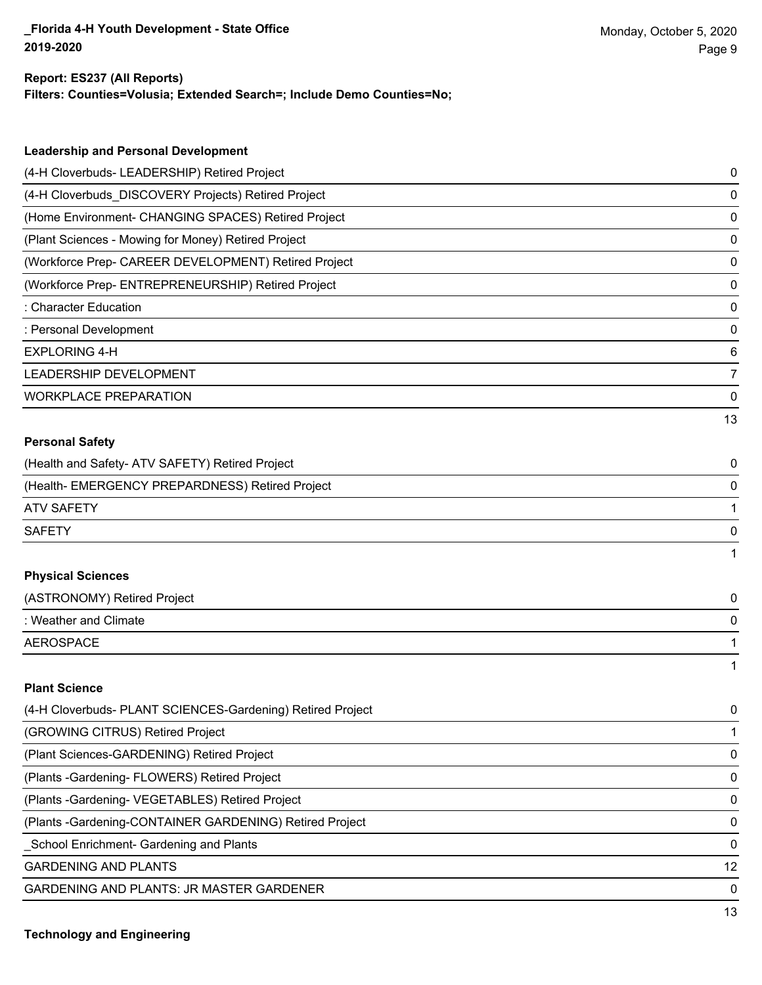#### **Report: ES237 (All Reports)**

**Filters: Counties=Volusia; Extended Search=; Include Demo Counties=No;**

| <b>Leadership and Personal Development</b>                 |    |
|------------------------------------------------------------|----|
| (4-H Cloverbuds- LEADERSHIP) Retired Project               | 0  |
| (4-H Cloverbuds_DISCOVERY Projects) Retired Project        | 0  |
| (Home Environment- CHANGING SPACES) Retired Project        | 0  |
| (Plant Sciences - Mowing for Money) Retired Project        | 0  |
| (Workforce Prep- CAREER DEVELOPMENT) Retired Project       | 0  |
| (Workforce Prep- ENTREPRENEURSHIP) Retired Project         | 0  |
| : Character Education                                      | 0  |
| : Personal Development                                     | 0  |
| <b>EXPLORING 4-H</b>                                       | 6  |
| LEADERSHIP DEVELOPMENT                                     | 7  |
| <b>WORKPLACE PREPARATION</b>                               | 0  |
|                                                            | 13 |
| <b>Personal Safety</b>                                     |    |
| (Health and Safety- ATV SAFETY) Retired Project            | 0  |
| (Health- EMERGENCY PREPARDNESS) Retired Project            | 0  |
| <b>ATV SAFETY</b>                                          |    |
| <b>SAFETY</b>                                              | 0  |
|                                                            |    |
| <b>Physical Sciences</b>                                   |    |
| (ASTRONOMY) Retired Project                                | 0  |
| : Weather and Climate                                      | 0  |
| <b>AEROSPACE</b>                                           |    |
|                                                            |    |
| <b>Plant Science</b>                                       |    |
| (4-H Cloverbuds- PLANT SCIENCES-Gardening) Retired Project | 0  |
| (GROWING CITRUS) Retired Project                           | 1  |
| (Plant Sciences-GARDENING) Retired Project                 | 0  |
| (Plants - Gardening - FLOWERS) Retired Project             | 0  |
| (Plants - Gardening - VEGETABLES) Retired Project          | 0  |
|                                                            |    |

(Plants -Gardening-CONTAINER GARDENING) Retired Project 0

\_School Enrichment- Gardening and Plants 0

GARDENING AND PLANTS 12

GARDENING AND PLANTS: JR MASTER GARDENER 0